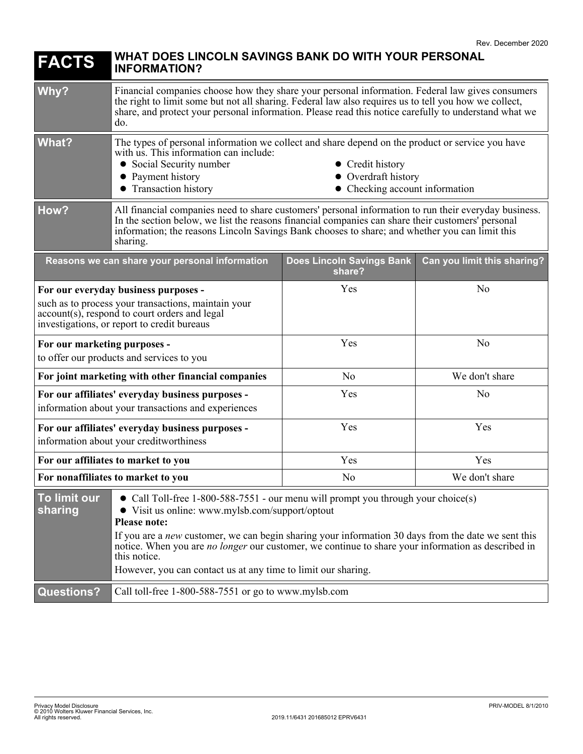| <b>FACTS</b>                                                                                                                                                                                                                                                                                                                                                                                                                                                                                | WHAT DOES LINCOLN SAVINGS BANK DO WITH YOUR PERSONAL<br><b>INFORMATION?</b>                                                                                                                                                                                                                                               |                                     |                             |
|---------------------------------------------------------------------------------------------------------------------------------------------------------------------------------------------------------------------------------------------------------------------------------------------------------------------------------------------------------------------------------------------------------------------------------------------------------------------------------------------|---------------------------------------------------------------------------------------------------------------------------------------------------------------------------------------------------------------------------------------------------------------------------------------------------------------------------|-------------------------------------|-----------------------------|
| Why?                                                                                                                                                                                                                                                                                                                                                                                                                                                                                        | Financial companies choose how they share your personal information. Federal law gives consumers<br>the right to limit some but not all sharing. Federal law also requires us to tell you how we collect,<br>share, and protect your personal information. Please read this notice carefully to understand what we<br>do. |                                     |                             |
| <b>What?</b>                                                                                                                                                                                                                                                                                                                                                                                                                                                                                | The types of personal information we collect and share depend on the product or service you have<br>with us. This information can include:<br>• Social Security number<br>• Credit history<br>• Payment history<br>• Overdraft history<br>• Transaction history<br>• Checking account information                         |                                     |                             |
| How?                                                                                                                                                                                                                                                                                                                                                                                                                                                                                        | All financial companies need to share customers' personal information to run their everyday business.<br>In the section below, we list the reasons financial companies can share their customers' personal<br>information; the reasons Lincoln Savings Bank chooses to share; and whether you can limit this<br>sharing.  |                                     |                             |
|                                                                                                                                                                                                                                                                                                                                                                                                                                                                                             | Reasons we can share your personal information                                                                                                                                                                                                                                                                            | Does Lincoln Savings Bank<br>share? | Can you limit this sharing? |
| For our everyday business purposes -<br>such as to process your transactions, maintain your<br>account(s), respond to court orders and legal<br>investigations, or report to credit bureaus                                                                                                                                                                                                                                                                                                 |                                                                                                                                                                                                                                                                                                                           | Yes                                 | N <sub>o</sub>              |
| For our marketing purposes -<br>to offer our products and services to you                                                                                                                                                                                                                                                                                                                                                                                                                   |                                                                                                                                                                                                                                                                                                                           | Yes                                 | N <sub>o</sub>              |
| For joint marketing with other financial companies                                                                                                                                                                                                                                                                                                                                                                                                                                          |                                                                                                                                                                                                                                                                                                                           | N <sub>o</sub>                      | We don't share              |
| For our affiliates' everyday business purposes -<br>information about your transactions and experiences                                                                                                                                                                                                                                                                                                                                                                                     |                                                                                                                                                                                                                                                                                                                           | Yes                                 | N <sub>o</sub>              |
| For our affiliates' everyday business purposes -<br>information about your creditworthiness                                                                                                                                                                                                                                                                                                                                                                                                 |                                                                                                                                                                                                                                                                                                                           | Yes                                 | Yes                         |
| For our affiliates to market to you                                                                                                                                                                                                                                                                                                                                                                                                                                                         |                                                                                                                                                                                                                                                                                                                           | Yes                                 | Yes                         |
| For nonaffiliates to market to you                                                                                                                                                                                                                                                                                                                                                                                                                                                          |                                                                                                                                                                                                                                                                                                                           | No                                  | We don't share              |
| To limit our<br>• Call Toll-free 1-800-588-7551 - our menu will prompt you through your choice(s)<br>sharing<br>• Visit us online: www.mylsb.com/support/optout<br><b>Please note:</b><br>If you are a new customer, we can begin sharing your information 30 days from the date we sent this<br>notice. When you are <i>no longer</i> our customer, we continue to share your information as described in<br>this notice.<br>However, you can contact us at any time to limit our sharing. |                                                                                                                                                                                                                                                                                                                           |                                     |                             |
| <b>Questions?</b>                                                                                                                                                                                                                                                                                                                                                                                                                                                                           | Call toll-free 1-800-588-7551 or go to www.mylsb.com                                                                                                                                                                                                                                                                      |                                     |                             |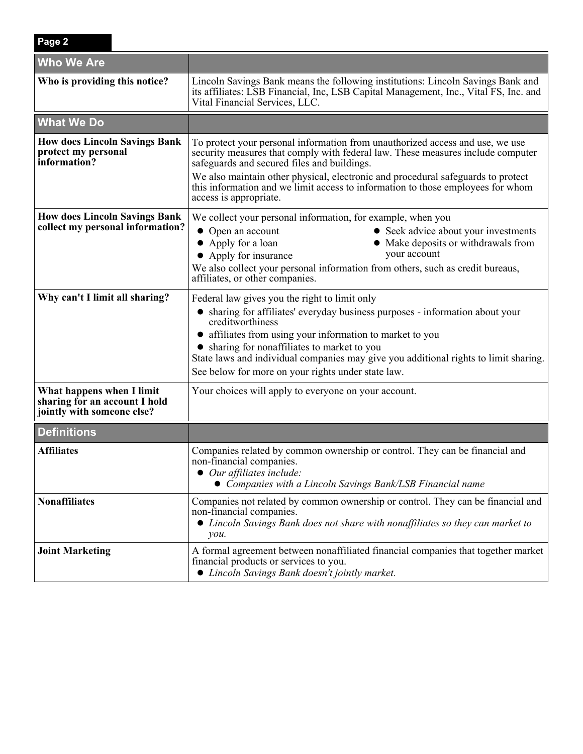| Page 2                                                                                   |                                                                                                                                                                                                                                                                                                                                                                                                                  |  |  |
|------------------------------------------------------------------------------------------|------------------------------------------------------------------------------------------------------------------------------------------------------------------------------------------------------------------------------------------------------------------------------------------------------------------------------------------------------------------------------------------------------------------|--|--|
| <b>Who We Are</b>                                                                        |                                                                                                                                                                                                                                                                                                                                                                                                                  |  |  |
| Who is providing this notice?                                                            | Lincoln Savings Bank means the following institutions: Lincoln Savings Bank and<br>its affiliates: LSB Financial, Inc, LSB Capital Management, Inc., Vital FS, Inc. and<br>Vital Financial Services, LLC.                                                                                                                                                                                                        |  |  |
| <b>What We Do</b>                                                                        |                                                                                                                                                                                                                                                                                                                                                                                                                  |  |  |
| <b>How does Lincoln Savings Bank</b><br>protect my personal<br>information?              | To protect your personal information from unauthorized access and use, we use<br>security measures that comply with federal law. These measures include computer<br>safeguards and secured files and buildings.<br>We also maintain other physical, electronic and procedural safeguards to protect<br>this information and we limit access to information to those employees for whom<br>access is appropriate. |  |  |
| <b>How does Lincoln Savings Bank</b><br>collect my personal information?                 | We collect your personal information, for example, when you<br>• Open an account<br>• Seek advice about your investments<br>• Apply for a loan<br>Make deposits or withdrawals from<br>your account<br>• Apply for insurance<br>We also collect your personal information from others, such as credit bureaus,<br>affiliates, or other companies.                                                                |  |  |
| Why can't I limit all sharing?                                                           | Federal law gives you the right to limit only<br>• sharing for affiliates' everyday business purposes - information about your<br>creditworthiness<br>• affiliates from using your information to market to you<br>• sharing for nonaffiliates to market to you<br>State laws and individual companies may give you additional rights to limit sharing.<br>See below for more on your rights under state law.    |  |  |
| What happens when I limit<br>sharing for an account I hold<br>jointly with someone else? | Your choices will apply to everyone on your account.                                                                                                                                                                                                                                                                                                                                                             |  |  |
| <b>Definitions</b>                                                                       |                                                                                                                                                                                                                                                                                                                                                                                                                  |  |  |
| <b>Affiliates</b>                                                                        | Companies related by common ownership or control. They can be financial and<br>non-financial companies.<br>$\bullet$ Our affiliates include:<br>• Companies with a Lincoln Savings Bank/LSB Financial name                                                                                                                                                                                                       |  |  |
| <b>Nonaffiliates</b>                                                                     | Companies not related by common ownership or control. They can be financial and<br>non-financial companies.<br>• Lincoln Savings Bank does not share with nonaffiliates so they can market to<br>$\mathcal{V}$ <i>ou</i> .                                                                                                                                                                                       |  |  |
| <b>Joint Marketing</b>                                                                   | A formal agreement between nonaffiliated financial companies that together market<br>financial products or services to you.<br>• Lincoln Savings Bank doesn't jointly market.                                                                                                                                                                                                                                    |  |  |